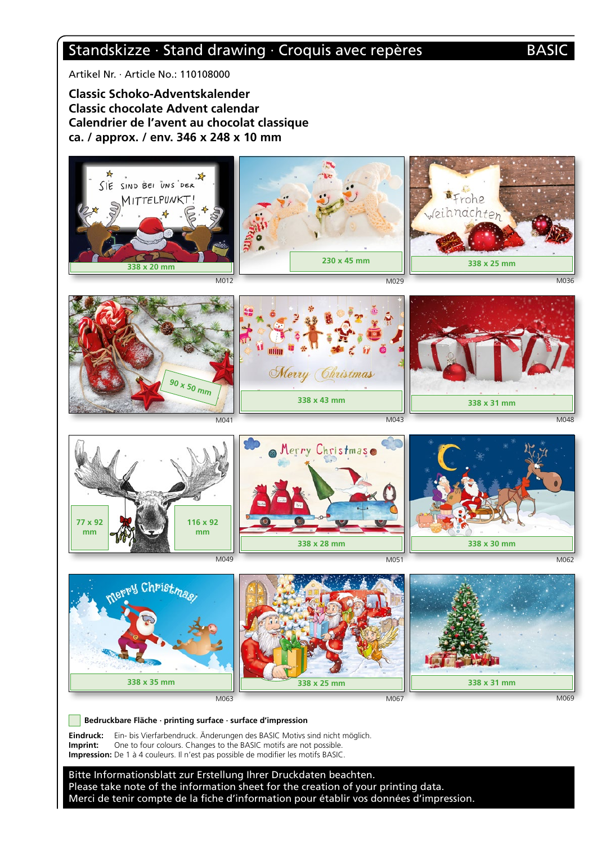# Standskizze · Stand drawing · Croquis avec repères BASIC

Artikel Nr. · Article No.: 110108000

**Classic Schoko-Adventskalender Classic chocolate Advent calendar Calendrier de l'avent au chocolat classique ca. / approx. / env. 346 x 248 x 10 mm**



Bitte Informationsblatt zur Erstellung Ihrer Druckdaten beachten. Please take note of the information sheet for the creation of your printing data. Merci de tenir compte de la fiche d'information pour établir vos données d'impression.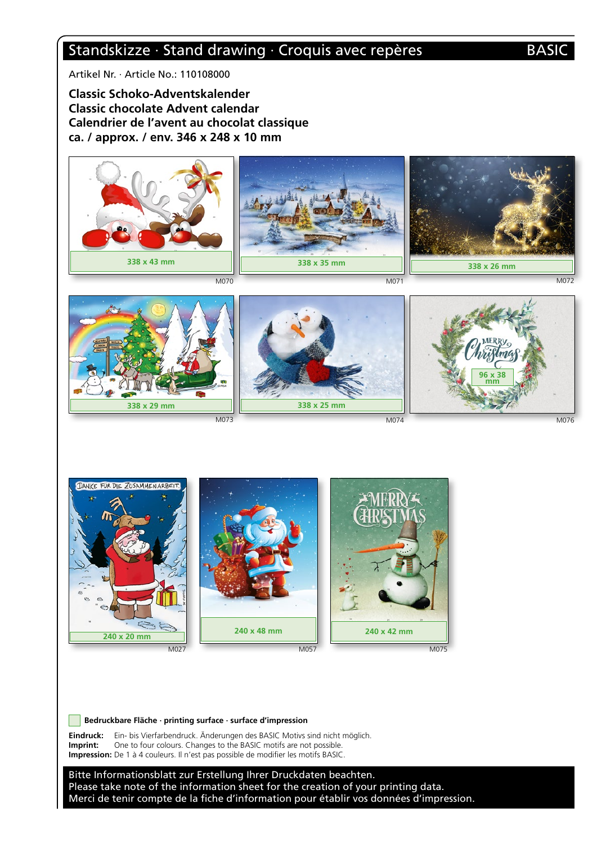# Standskizze · Stand drawing · Croquis avec repères BASIC

Artikel Nr. · Article No.: 110108000

**Classic Schoko-Adventskalender Classic chocolate Advent calendar Calendrier de l'avent au chocolat classique ca. / approx. / env. 346 x 248 x 10 mm**



DANKE FÜR DIE ZUSAMMENARBEIT  $\sum_{i=1}^n$ **240 x 48 mm240 x 42 mm 240 x 20 mm** M057 M027 M075

 **Bedruckbare Fläche · printing surface · surface d'impression**

**Eindruck:** Ein- bis Vierfarbendruck. Änderungen des BASIC Motivs sind nicht möglich. **Imprint:** One to four colours. Changes to the BASIC motifs are not possible. **Impression:** De 1 à 4 couleurs. Il n'est pas possible de modifier les motifs BASIC.

Bitte Informationsblatt zur Erstellung Ihrer Druckdaten beachten. Please take note of the information sheet for the creation of your printing data. Merci de tenir compte de la fiche d'information pour établir vos données d'impression.